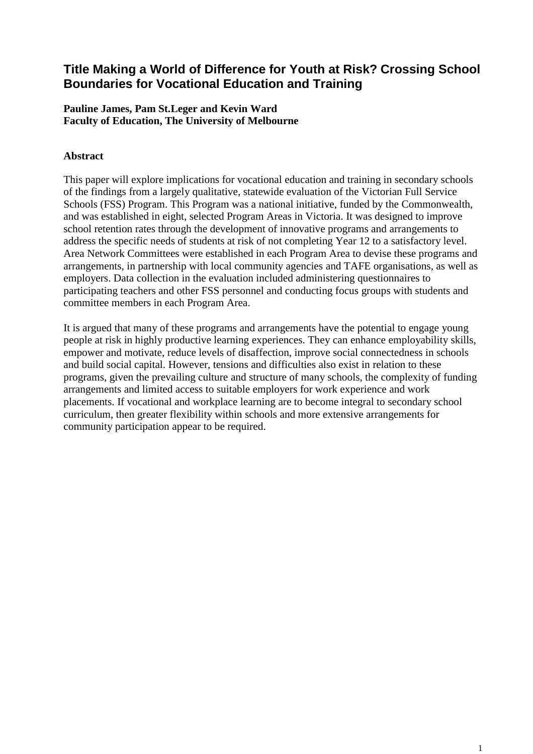# **Title Making a World of Difference for Youth at Risk? Crossing School Boundaries for Vocational Education and Training**

### **Pauline James, Pam St.Leger and Kevin Ward Faculty of Education, The University of Melbourne**

## **Abstract**

This paper will explore implications for vocational education and training in secondary schools of the findings from a largely qualitative, statewide evaluation of the Victorian Full Service Schools (FSS) Program. This Program was a national initiative, funded by the Commonwealth, and was established in eight, selected Program Areas in Victoria. It was designed to improve school retention rates through the development of innovative programs and arrangements to address the specific needs of students at risk of not completing Year 12 to a satisfactory level. Area Network Committees were established in each Program Area to devise these programs and arrangements, in partnership with local community agencies and TAFE organisations, as well as employers. Data collection in the evaluation included administering questionnaires to participating teachers and other FSS personnel and conducting focus groups with students and committee members in each Program Area.

It is argued that many of these programs and arrangements have the potential to engage young people at risk in highly productive learning experiences. They can enhance employability skills, empower and motivate, reduce levels of disaffection, improve social connectedness in schools and build social capital. However, tensions and difficulties also exist in relation to these programs, given the prevailing culture and structure of many schools, the complexity of funding arrangements and limited access to suitable employers for work experience and work placements. If vocational and workplace learning are to become integral to secondary school curriculum, then greater flexibility within schools and more extensive arrangements for community participation appear to be required.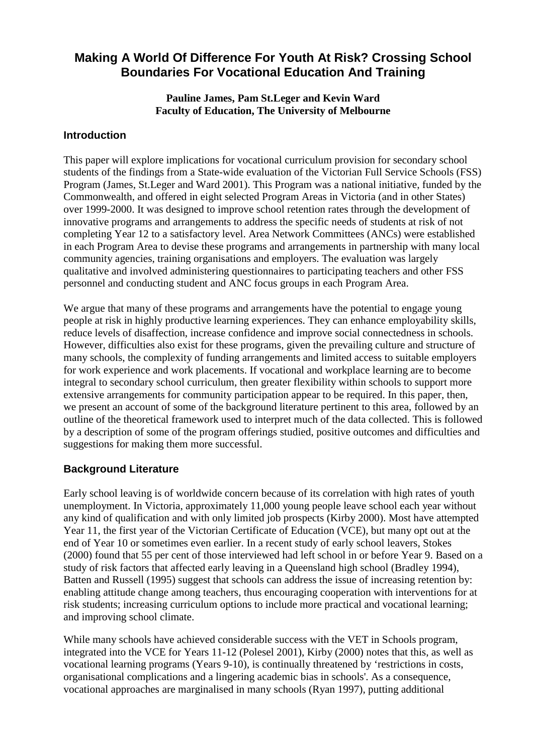# **Making A World Of Difference For Youth At Risk? Crossing School Boundaries For Vocational Education And Training**

### **Pauline James, Pam St.Leger and Kevin Ward Faculty of Education, The University of Melbourne**

## **Introduction**

This paper will explore implications for vocational curriculum provision for secondary school students of the findings from a State-wide evaluation of the Victorian Full Service Schools (FSS) Program (James, St.Leger and Ward 2001). This Program was a national initiative, funded by the Commonwealth, and offered in eight selected Program Areas in Victoria (and in other States) over 1999-2000. It was designed to improve school retention rates through the development of innovative programs and arrangements to address the specific needs of students at risk of not completing Year 12 to a satisfactory level. Area Network Committees (ANCs) were established in each Program Area to devise these programs and arrangements in partnership with many local community agencies, training organisations and employers. The evaluation was largely qualitative and involved administering questionnaires to participating teachers and other FSS personnel and conducting student and ANC focus groups in each Program Area.

We argue that many of these programs and arrangements have the potential to engage young people at risk in highly productive learning experiences. They can enhance employability skills, reduce levels of disaffection, increase confidence and improve social connectedness in schools. However, difficulties also exist for these programs, given the prevailing culture and structure of many schools, the complexity of funding arrangements and limited access to suitable employers for work experience and work placements. If vocational and workplace learning are to become integral to secondary school curriculum, then greater flexibility within schools to support more extensive arrangements for community participation appear to be required. In this paper, then, we present an account of some of the background literature pertinent to this area, followed by an outline of the theoretical framework used to interpret much of the data collected. This is followed by a description of some of the program offerings studied, positive outcomes and difficulties and suggestions for making them more successful.

# **Background Literature**

Early school leaving is of worldwide concern because of its correlation with high rates of youth unemployment. In Victoria, approximately 11,000 young people leave school each year without any kind of qualification and with only limited job prospects (Kirby 2000). Most have attempted Year 11, the first year of the Victorian Certificate of Education (VCE), but many opt out at the end of Year 10 or sometimes even earlier. In a recent study of early school leavers, Stokes (2000) found that 55 per cent of those interviewed had left school in or before Year 9. Based on a study of risk factors that affected early leaving in a Queensland high school (Bradley 1994), Batten and Russell (1995) suggest that schools can address the issue of increasing retention by: enabling attitude change among teachers, thus encouraging cooperation with interventions for at risk students; increasing curriculum options to include more practical and vocational learning; and improving school climate.

While many schools have achieved considerable success with the VET in Schools program, integrated into the VCE for Years 11-12 (Polesel 2001), Kirby (2000) notes that this, as well as vocational learning programs (Years 9-10), is continually threatened by 'restrictions in costs, organisational complications and a lingering academic bias in schools'. As a consequence, vocational approaches are marginalised in many schools (Ryan 1997), putting additional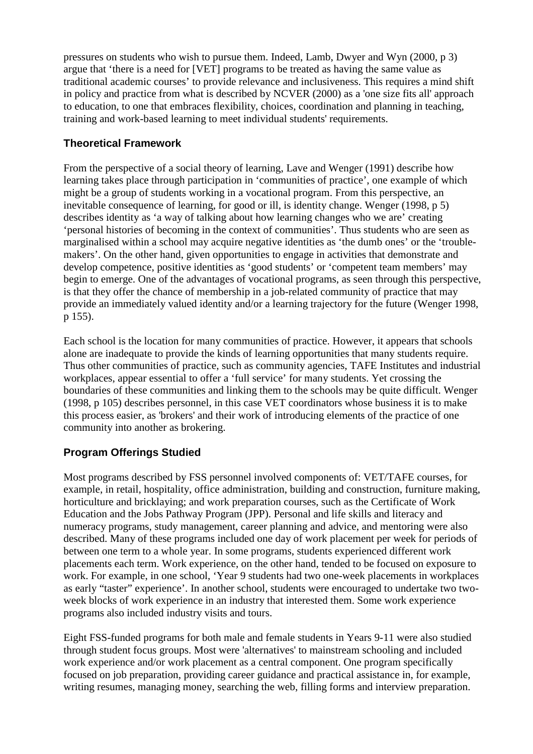pressures on students who wish to pursue them. Indeed, Lamb, Dwyer and Wyn (2000, p 3) argue that 'there is a need for [VET] programs to be treated as having the same value as traditional academic courses' to provide relevance and inclusiveness. This requires a mind shift in policy and practice from what is described by NCVER (2000) as a 'one size fits all' approach to education, to one that embraces flexibility, choices, coordination and planning in teaching, training and work-based learning to meet individual students' requirements.

# **Theoretical Framework**

From the perspective of a social theory of learning, Lave and Wenger (1991) describe how learning takes place through participation in 'communities of practice', one example of which might be a group of students working in a vocational program. From this perspective, an inevitable consequence of learning, for good or ill, is identity change. Wenger (1998, p 5) describes identity as 'a way of talking about how learning changes who we are' creating 'personal histories of becoming in the context of communities'. Thus students who are seen as marginalised within a school may acquire negative identities as 'the dumb ones' or the 'troublemakers'. On the other hand, given opportunities to engage in activities that demonstrate and develop competence, positive identities as 'good students' or 'competent team members' may begin to emerge. One of the advantages of vocational programs, as seen through this perspective, is that they offer the chance of membership in a job-related community of practice that may provide an immediately valued identity and/or a learning trajectory for the future (Wenger 1998, p 155).

Each school is the location for many communities of practice. However, it appears that schools alone are inadequate to provide the kinds of learning opportunities that many students require. Thus other communities of practice, such as community agencies, TAFE Institutes and industrial workplaces, appear essential to offer a 'full service' for many students. Yet crossing the boundaries of these communities and linking them to the schools may be quite difficult. Wenger (1998, p 105) describes personnel, in this case VET coordinators whose business it is to make this process easier, as 'brokers' and their work of introducing elements of the practice of one community into another as brokering.

# **Program Offerings Studied**

Most programs described by FSS personnel involved components of: VET/TAFE courses, for example, in retail, hospitality, office administration, building and construction, furniture making, horticulture and bricklaying; and work preparation courses, such as the Certificate of Work Education and the Jobs Pathway Program (JPP). Personal and life skills and literacy and numeracy programs, study management, career planning and advice, and mentoring were also described. Many of these programs included one day of work placement per week for periods of between one term to a whole year. In some programs, students experienced different work placements each term. Work experience, on the other hand, tended to be focused on exposure to work. For example, in one school, 'Year 9 students had two one-week placements in workplaces as early "taster" experience'. In another school, students were encouraged to undertake two twoweek blocks of work experience in an industry that interested them. Some work experience programs also included industry visits and tours.

Eight FSS-funded programs for both male and female students in Years 9-11 were also studied through student focus groups. Most were 'alternatives' to mainstream schooling and included work experience and/or work placement as a central component. One program specifically focused on job preparation, providing career guidance and practical assistance in, for example, writing resumes, managing money, searching the web, filling forms and interview preparation.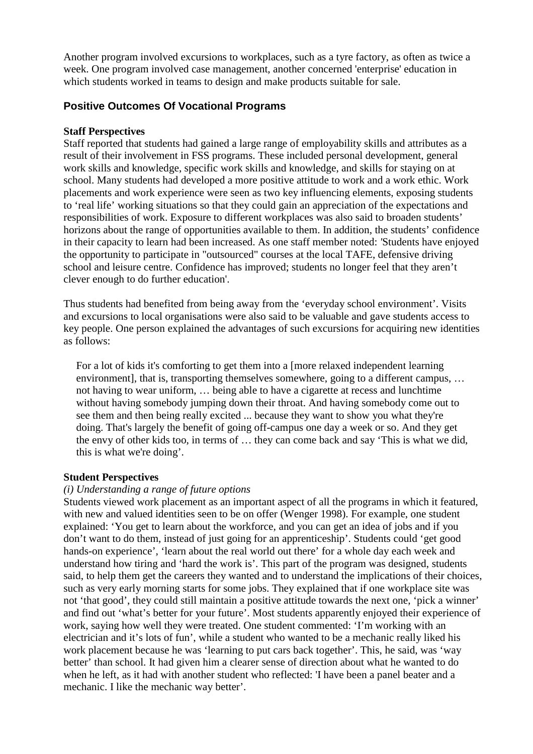Another program involved excursions to workplaces, such as a tyre factory, as often as twice a week. One program involved case management, another concerned 'enterprise' education in which students worked in teams to design and make products suitable for sale.

## **Positive Outcomes Of Vocational Programs**

### **Staff Perspectives**

Staff reported that students had gained a large range of employability skills and attributes as a result of their involvement in FSS programs. These included personal development, general work skills and knowledge, specific work skills and knowledge, and skills for staying on at school. Many students had developed a more positive attitude to work and a work ethic. Work placements and work experience were seen as two key influencing elements, exposing students to 'real life' working situations so that they could gain an appreciation of the expectations and responsibilities of work. Exposure to different workplaces was also said to broaden students' horizons about the range of opportunities available to them. In addition, the students' confidence in their capacity to learn had been increased. As one staff member noted: *'*Students have enjoyed the opportunity to participate in "outsourced" courses at the local TAFE, defensive driving school and leisure centre. Confidence has improved; students no longer feel that they aren't clever enough to do further education'.

Thus students had benefited from being away from the 'everyday school environment'. Visits and excursions to local organisations were also said to be valuable and gave students access to key people. One person explained the advantages of such excursions for acquiring new identities as follows:

For a lot of kids it's comforting to get them into a [more relaxed independent learning environment], that is, transporting themselves somewhere, going to a different campus, ... not having to wear uniform, … being able to have a cigarette at recess and lunchtime without having somebody jumping down their throat. And having somebody come out to see them and then being really excited ... because they want to show you what they're doing. That's largely the benefit of going off-campus one day a week or so. And they get the envy of other kids too, in terms of … they can come back and say 'This is what we did, this is what we're doing'.

## **Student Perspectives**

#### *(i) Understanding a range of future options*

Students viewed work placement as an important aspect of all the programs in which it featured, with new and valued identities seen to be on offer (Wenger 1998). For example, one student explained: 'You get to learn about the workforce, and you can get an idea of jobs and if you don't want to do them, instead of just going for an apprenticeship'. Students could 'get good hands-on experience', 'learn about the real world out there' for a whole day each week and understand how tiring and 'hard the work is'. This part of the program was designed, students said, to help them get the careers they wanted and to understand the implications of their choices, such as very early morning starts for some jobs. They explained that if one workplace site was not 'that good', they could still maintain a positive attitude towards the next one, 'pick a winner' and find out 'what's better for your future'. Most students apparently enjoyed their experience of work, saying how well they were treated. One student commented: 'I'm working with an electrician and it's lots of fun', while a student who wanted to be a mechanic really liked his work placement because he was 'learning to put cars back together'. This, he said, was 'way better' than school. It had given him a clearer sense of direction about what he wanted to do when he left, as it had with another student who reflected: 'I have been a panel beater and a mechanic. I like the mechanic way better'.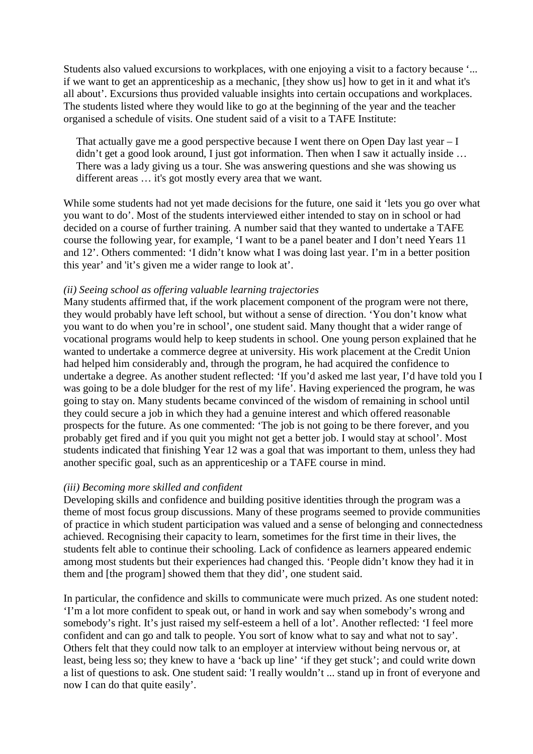Students also valued excursions to workplaces, with one enjoying a visit to a factory because '... if we want to get an apprenticeship as a mechanic, [they show us] how to get in it and what it's all about'. Excursions thus provided valuable insights into certain occupations and workplaces. The students listed where they would like to go at the beginning of the year and the teacher organised a schedule of visits. One student said of a visit to a TAFE Institute:

That actually gave me a good perspective because I went there on Open Day last year – I didn't get a good look around, I just got information. Then when I saw it actually inside … There was a lady giving us a tour. She was answering questions and she was showing us different areas … it's got mostly every area that we want.

While some students had not yet made decisions for the future, one said it 'lets you go over what you want to do'. Most of the students interviewed either intended to stay on in school or had decided on a course of further training. A number said that they wanted to undertake a TAFE course the following year, for example, 'I want to be a panel beater and I don't need Years 11 and 12'. Others commented: 'I didn't know what I was doing last year. I'm in a better position this year' and 'it's given me a wider range to look at'.

#### *(ii) Seeing school as offering valuable learning trajectories*

Many students affirmed that, if the work placement component of the program were not there, they would probably have left school, but without a sense of direction. 'You don't know what you want to do when you're in school', one student said. Many thought that a wider range of vocational programs would help to keep students in school. One young person explained that he wanted to undertake a commerce degree at university. His work placement at the Credit Union had helped him considerably and, through the program, he had acquired the confidence to undertake a degree. As another student reflected: 'If you'd asked me last year, I'd have told you I was going to be a dole bludger for the rest of my life'. Having experienced the program, he was going to stay on. Many students became convinced of the wisdom of remaining in school until they could secure a job in which they had a genuine interest and which offered reasonable prospects for the future. As one commented: 'The job is not going to be there forever, and you probably get fired and if you quit you might not get a better job. I would stay at school'. Most students indicated that finishing Year 12 was a goal that was important to them, unless they had another specific goal, such as an apprenticeship or a TAFE course in mind.

#### *(iii) Becoming more skilled and confident*

Developing skills and confidence and building positive identities through the program was a theme of most focus group discussions. Many of these programs seemed to provide communities of practice in which student participation was valued and a sense of belonging and connectedness achieved. Recognising their capacity to learn, sometimes for the first time in their lives, the students felt able to continue their schooling. Lack of confidence as learners appeared endemic among most students but their experiences had changed this. 'People didn't know they had it in them and [the program] showed them that they did', one student said.

In particular, the confidence and skills to communicate were much prized. As one student noted: 'I'm a lot more confident to speak out, or hand in work and say when somebody's wrong and somebody's right. It's just raised my self-esteem a hell of a lot'. Another reflected: 'I feel more confident and can go and talk to people. You sort of know what to say and what not to say'. Others felt that they could now talk to an employer at interview without being nervous or, at least, being less so; they knew to have a 'back up line' 'if they get stuck'; and could write down a list of questions to ask. One student said: 'I really wouldn't ... stand up in front of everyone and now I can do that quite easily'.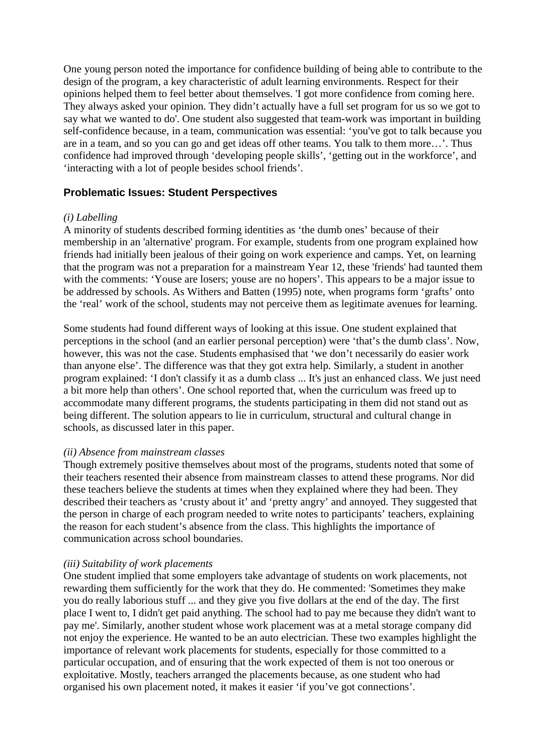One young person noted the importance for confidence building of being able to contribute to the design of the program, a key characteristic of adult learning environments. Respect for their opinions helped them to feel better about themselves. 'I got more confidence from coming here. They always asked your opinion. They didn't actually have a full set program for us so we got to say what we wanted to do'. One student also suggested that team-work was important in building self-confidence because, in a team, communication was essential: 'you've got to talk because you are in a team, and so you can go and get ideas off other teams. You talk to them more…'. Thus confidence had improved through 'developing people skills', 'getting out in the workforce', and 'interacting with a lot of people besides school friends'.

## **Problematic Issues: Student Perspectives**

#### *(i) Labelling*

A minority of students described forming identities as 'the dumb ones' because of their membership in an 'alternative' program. For example, students from one program explained how friends had initially been jealous of their going on work experience and camps. Yet, on learning that the program was not a preparation for a mainstream Year 12, these 'friends' had taunted them with the comments: 'Youse are losers; youse are no hopers'. This appears to be a major issue to be addressed by schools. As Withers and Batten (1995) note, when programs form 'grafts' onto the 'real' work of the school, students may not perceive them as legitimate avenues for learning.

Some students had found different ways of looking at this issue. One student explained that perceptions in the school (and an earlier personal perception) were 'that's the dumb class'. Now, however, this was not the case. Students emphasised that 'we don't necessarily do easier work than anyone else'. The difference was that they got extra help. Similarly, a student in another program explained: 'I don't classify it as a dumb class ... It's just an enhanced class. We just need a bit more help than others'. One school reported that, when the curriculum was freed up to accommodate many different programs, the students participating in them did not stand out as being different. The solution appears to lie in curriculum, structural and cultural change in schools, as discussed later in this paper.

#### *(ii) Absence from mainstream classes*

Though extremely positive themselves about most of the programs, students noted that some of their teachers resented their absence from mainstream classes to attend these programs. Nor did these teachers believe the students at times when they explained where they had been. They described their teachers as 'crusty about it' and 'pretty angry' and annoyed. They suggested that the person in charge of each program needed to write notes to participants' teachers, explaining the reason for each student's absence from the class. This highlights the importance of communication across school boundaries.

#### *(iii) Suitability of work placements*

One student implied that some employers take advantage of students on work placements, not rewarding them sufficiently for the work that they do. He commented: 'Sometimes they make you do really laborious stuff ... and they give you five dollars at the end of the day. The first place I went to, I didn't get paid anything. The school had to pay me because they didn't want to pay me'. Similarly, another student whose work placement was at a metal storage company did not enjoy the experience. He wanted to be an auto electrician. These two examples highlight the importance of relevant work placements for students, especially for those committed to a particular occupation, and of ensuring that the work expected of them is not too onerous or exploitative. Mostly, teachers arranged the placements because, as one student who had organised his own placement noted, it makes it easier 'if you've got connections'.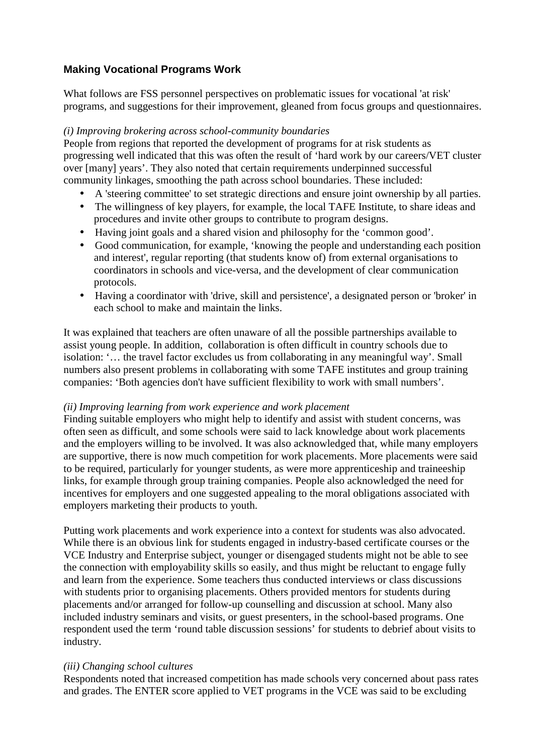# **Making Vocational Programs Work**

What follows are FSS personnel perspectives on problematic issues for vocational 'at risk' programs, and suggestions for their improvement, gleaned from focus groups and questionnaires.

## *(i) Improving brokering across school-community boundaries*

People from regions that reported the development of programs for at risk students as progressing well indicated that this was often the result of 'hard work by our careers/VET cluster over [many] years'. They also noted that certain requirements underpinned successful community linkages, smoothing the path across school boundaries. These included:

- A 'steering committee' to set strategic directions and ensure joint ownership by all parties.
- The willingness of key players, for example, the local TAFE Institute, to share ideas and procedures and invite other groups to contribute to program designs.
- Having joint goals and a shared vision and philosophy for the 'common good'.
- Good communication, for example, 'knowing the people and understanding each position and interest', regular reporting (that students know of) from external organisations to coordinators in schools and vice-versa, and the development of clear communication protocols.
- Having a coordinator with 'drive, skill and persistence', a designated person or 'broker' in each school to make and maintain the links.

It was explained that teachers are often unaware of all the possible partnerships available to assist young people. In addition, collaboration is often difficult in country schools due to isolation: '… the travel factor excludes us from collaborating in any meaningful way'. Small numbers also present problems in collaborating with some TAFE institutes and group training companies: 'Both agencies don't have sufficient flexibility to work with small numbers'.

## *(ii) Improving learning from work experience and work placement*

Finding suitable employers who might help to identify and assist with student concerns, was often seen as difficult, and some schools were said to lack knowledge about work placements and the employers willing to be involved. It was also acknowledged that, while many employers are supportive, there is now much competition for work placements. More placements were said to be required, particularly for younger students, as were more apprenticeship and traineeship links, for example through group training companies. People also acknowledged the need for incentives for employers and one suggested appealing to the moral obligations associated with employers marketing their products to youth.

Putting work placements and work experience into a context for students was also advocated. While there is an obvious link for students engaged in industry-based certificate courses or the VCE Industry and Enterprise subject, younger or disengaged students might not be able to see the connection with employability skills so easily, and thus might be reluctant to engage fully and learn from the experience. Some teachers thus conducted interviews or class discussions with students prior to organising placements. Others provided mentors for students during placements and/or arranged for follow-up counselling and discussion at school. Many also included industry seminars and visits, or guest presenters, in the school-based programs. One respondent used the term 'round table discussion sessions' for students to debrief about visits to industry.

## *(iii) Changing school cultures*

Respondents noted that increased competition has made schools very concerned about pass rates and grades. The ENTER score applied to VET programs in the VCE was said to be excluding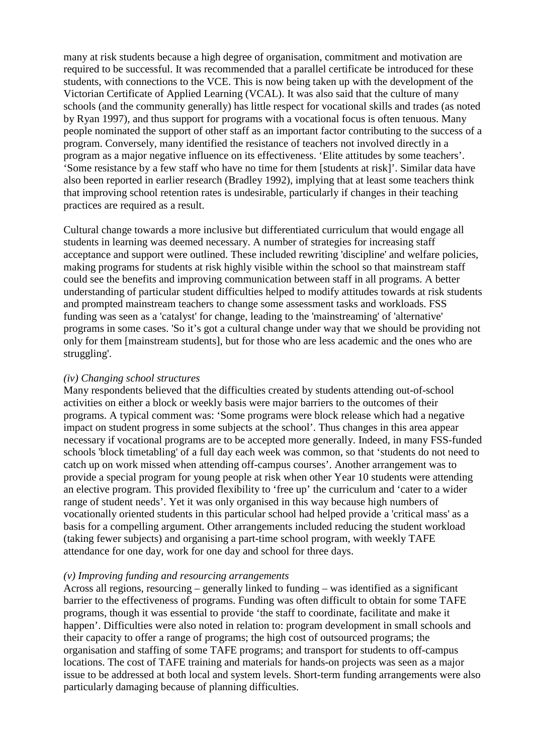many at risk students because a high degree of organisation, commitment and motivation are required to be successful. It was recommended that a parallel certificate be introduced for these students, with connections to the VCE. This is now being taken up with the development of the Victorian Certificate of Applied Learning (VCAL). It was also said that the culture of many schools (and the community generally) has little respect for vocational skills and trades (as noted by Ryan 1997), and thus support for programs with a vocational focus is often tenuous. Many people nominated the support of other staff as an important factor contributing to the success of a program. Conversely, many identified the resistance of teachers not involved directly in a program as a major negative influence on its effectiveness. 'Elite attitudes by some teachers'. 'Some resistance by a few staff who have no time for them [students at risk]'. Similar data have also been reported in earlier research (Bradley 1992), implying that at least some teachers think that improving school retention rates is undesirable, particularly if changes in their teaching practices are required as a result.

Cultural change towards a more inclusive but differentiated curriculum that would engage all students in learning was deemed necessary. A number of strategies for increasing staff acceptance and support were outlined. These included rewriting 'discipline' and welfare policies, making programs for students at risk highly visible within the school so that mainstream staff could see the benefits and improving communication between staff in all programs. A better understanding of particular student difficulties helped to modify attitudes towards at risk students and prompted mainstream teachers to change some assessment tasks and workloads. FSS funding was seen as a 'catalyst' for change, leading to the 'mainstreaming' of 'alternative' programs in some cases. 'So it's got a cultural change under way that we should be providing not only for them [mainstream students], but for those who are less academic and the ones who are struggling'.

#### *(iv) Changing school structures*

Many respondents believed that the difficulties created by students attending out-of-school activities on either a block or weekly basis were major barriers to the outcomes of their programs. A typical comment was: 'Some programs were block release which had a negative impact on student progress in some subjects at the school'. Thus changes in this area appear necessary if vocational programs are to be accepted more generally. Indeed, in many FSS-funded schools 'block timetabling' of a full day each week was common, so that 'students do not need to catch up on work missed when attending off-campus courses'. Another arrangement was to provide a special program for young people at risk when other Year 10 students were attending an elective program. This provided flexibility to 'free up' the curriculum and 'cater to a wider range of student needs'. Yet it was only organised in this way because high numbers of vocationally oriented students in this particular school had helped provide a 'critical mass' as a basis for a compelling argument. Other arrangements included reducing the student workload (taking fewer subjects) and organising a part-time school program, with weekly TAFE attendance for one day, work for one day and school for three days.

#### *(v) Improving funding and resourcing arrangements*

Across all regions, resourcing – generally linked to funding – was identified as a significant barrier to the effectiveness of programs. Funding was often difficult to obtain for some TAFE programs, though it was essential to provide 'the staff to coordinate, facilitate and make it happen'. Difficulties were also noted in relation to: program development in small schools and their capacity to offer a range of programs; the high cost of outsourced programs; the organisation and staffing of some TAFE programs; and transport for students to off-campus locations. The cost of TAFE training and materials for hands-on projects was seen as a major issue to be addressed at both local and system levels. Short-term funding arrangements were also particularly damaging because of planning difficulties.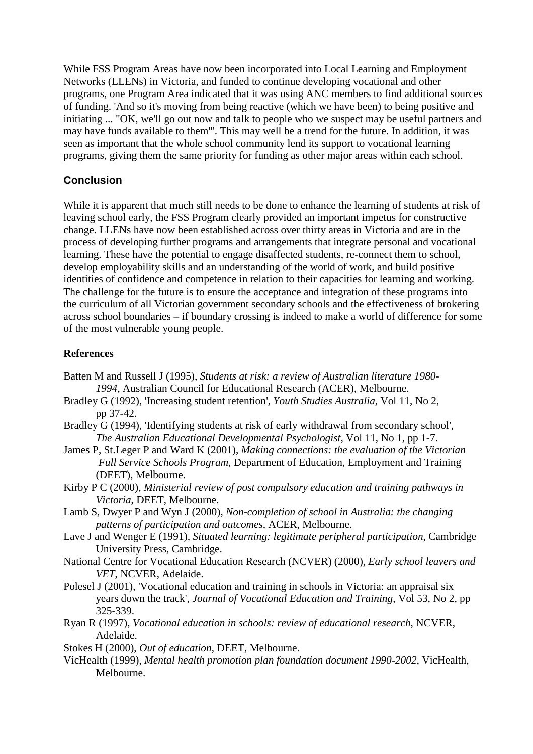While FSS Program Areas have now been incorporated into Local Learning and Employment Networks (LLENs) in Victoria, and funded to continue developing vocational and other programs, one Program Area indicated that it was using ANC members to find additional sources of funding. 'And so it's moving from being reactive (which we have been) to being positive and initiating ... "OK, we'll go out now and talk to people who we suspect may be useful partners and may have funds available to them"'. This may well be a trend for the future. In addition, it was seen as important that the whole school community lend its support to vocational learning programs, giving them the same priority for funding as other major areas within each school.

# **Conclusion**

While it is apparent that much still needs to be done to enhance the learning of students at risk of leaving school early, the FSS Program clearly provided an important impetus for constructive change. LLENs have now been established across over thirty areas in Victoria and are in the process of developing further programs and arrangements that integrate personal and vocational learning. These have the potential to engage disaffected students, re-connect them to school, develop employability skills and an understanding of the world of work, and build positive identities of confidence and competence in relation to their capacities for learning and working. The challenge for the future is to ensure the acceptance and integration of these programs into the curriculum of all Victorian government secondary schools and the effectiveness of brokering across school boundaries – if boundary crossing is indeed to make a world of difference for some of the most vulnerable young people.

# **References**

- Batten M and Russell J (1995), *Students at risk: a review of Australian literature 1980- 1994*, Australian Council for Educational Research (ACER), Melbourne.
- Bradley G (1992), 'Increasing student retention', *Youth Studies Australia*, Vol 11, No 2, pp 37-42.
- Bradley G (1994), 'Identifying students at risk of early withdrawal from secondary school', *The Australian Educational Developmental Psychologist*, Vol 11, No 1, pp 1-7.
- James P, St.Leger P and Ward K (2001), *Making connections: the evaluation of the Victorian Full Service Schools Program*, Department of Education, Employment and Training (DEET), Melbourne.
- Kirby P C (2000), *Ministerial review of post compulsory education and training pathways in Victoria*, DEET, Melbourne.
- Lamb S, Dwyer P and Wyn J (2000), *Non-completion of school in Australia: the changing patterns of participation and outcomes*, ACER, Melbourne.
- Lave J and Wenger E (1991), *Situated learning: legitimate peripheral participation*, Cambridge University Press, Cambridge.
- National Centre for Vocational Education Research (NCVER) (2000), *Early school leavers and VET*, NCVER, Adelaide.
- Polesel J (2001), 'Vocational education and training in schools in Victoria: an appraisal six years down the track', *Journal of Vocational Education and Training*, Vol 53, No 2, pp 325-339.
- Ryan R (1997), *Vocational education in schools: review of educational research*, NCVER, Adelaide.
- Stokes H (2000), *Out of education*, DEET, Melbourne.
- VicHealth (1999), *Mental health promotion plan foundation document 1990-2002*, VicHealth, Melbourne.